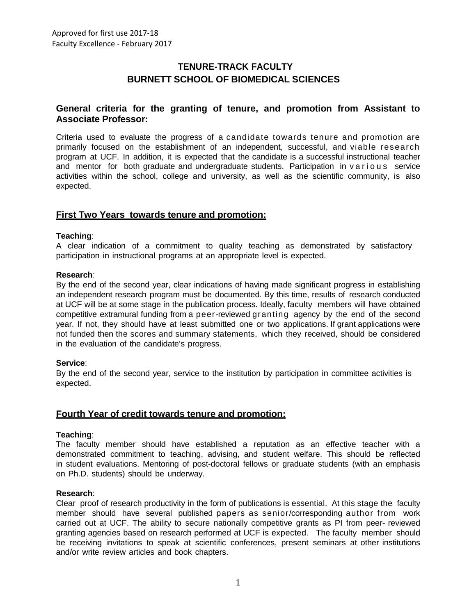## **TENURE-TRACK FACULTY BURNETT SCHOOL OF BIOMEDICAL SCIENCES**

## **General criteria for the granting of tenure, and promotion from Assistant to Associate Professor:**

Criteria used to evaluate the progress of a candidate towards tenure and promotion are primarily focused on the establishment of an independent, successful, and viable research program at UCF. In addition, it is expected that the candidate is a successful instructional teacher and mentor for both graduate and undergraduate students. Participation in various service activities within the school, college and university, as well as the scientific community, is also expected.

## **First Two Years towards tenure and promotion:**

## **Teaching**:

A clear indication of a commitment to quality teaching as demonstrated by satisfactory participation in instructional programs at an appropriate level is expected.

## **Research**:

By the end of the second year, clear indications of having made significant progress in establishing an independent research program must be documented. By this time, results of research conducted at UCF will be at some stage in the publication process. Ideally, faculty members will have obtained competitive extramural funding from a peer-reviewed granting agency by the end of the second year. If not, they should have at least submitted one or two applications. If grant applications were not funded then the scores and summary statements, which they received, should be considered in the evaluation of the candidate's progress.

## **Service**:

By the end of the second year, service to the institution by participation in committee activities is expected.

## **Fourth Year of credit towards tenure and promotion:**

## **Teaching**:

The faculty member should have established a reputation as an effective teacher with a demonstrated commitment to teaching, advising, and student welfare. This should be reflected in student evaluations. Mentoring of post-doctoral fellows or graduate students (with an emphasis on Ph.D. students) should be underway.

## **Research**:

Clear proof of research productivity in the form of publications is essential. At this stage the faculty member should have several published papers as senior/corresponding author from work carried out at UCF. The ability to secure nationally competitive grants as PI from peer- reviewed granting agencies based on research performed at UCF is expected. The faculty member should be receiving invitations to speak at scientific conferences, present seminars at other institutions and/or write review articles and book chapters.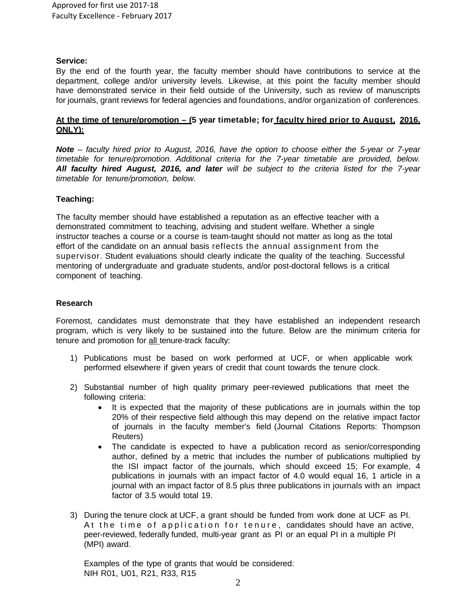## **Service:**

By the end of the fourth year, the faculty member should have contributions to service at the department, college and/or university levels. Likewise, at this point the faculty member should have demonstrated service in their field outside of the University, such as review of manuscripts for journals, grant reviews for federal agencies and foundations, and/or organization of conferences.

## **At the time of tenure/promotion – (5 year timetable; for faculty hired prior to August, 2016, ONLY):**

*Note – faculty hired prior to August, 2016, have the option to choose either the 5-year or 7-year timetable for tenure/promotion. Additional criteria for the 7-year timetable are provided, below. All faculty hired August, 2016, and later will be subject to the criteria listed for the 7-year timetable for tenure/promotion, below.*

## **Teaching:**

The faculty member should have established a reputation as an effective teacher with a demonstrated commitment to teaching, advising and student welfare. Whether a single instructor teaches a course or a course is team-taught should not matter as long as the total effort of the candidate on an annual basis reflects the annual assignment from the supervisor. Student evaluations should clearly indicate the quality of the teaching. Successful mentoring of undergraduate and graduate students, and/or post-doctoral fellows is a critical component of teaching.

## **Research**

Foremost, candidates must demonstrate that they have established an independent research program, which is very likely to be sustained into the future. Below are the minimum criteria for tenure and promotion for all tenure-track faculty:

- 1) Publications must be based on work performed at UCF, or when applicable work performed elsewhere if given years of credit that count towards the tenure clock.
- 2) Substantial number of high quality primary peer-reviewed publications that meet the following criteria:
	- It is expected that the majority of these publications are in journals within the top 20% of their respective field although this may depend on the relative impact factor of journals in the faculty member's field (Journal Citations Reports: Thompson Reuters)
	- The candidate is expected to have a publication record as senior/corresponding author, defined by a metric that includes the number of publications multiplied by the ISI impact factor of the journals, which should exceed 15; For example, 4 publications in journals with an impact factor of 4.0 would equal 16, 1 article in a journal with an impact factor of 8.5 plus three publications in journals with an impact factor of 3.5 would total 19.
- 3) During the tenure clock at UCF, a grant should be funded from work done at UCF as PI. At the time of application for tenure, candidates should have an active, peer-reviewed, federally funded, multi-year grant as PI or an equal PI in a multiple PI (MPI) award.

Examples of the type of grants that would be considered: NIH R01, U01, R21, R33, R15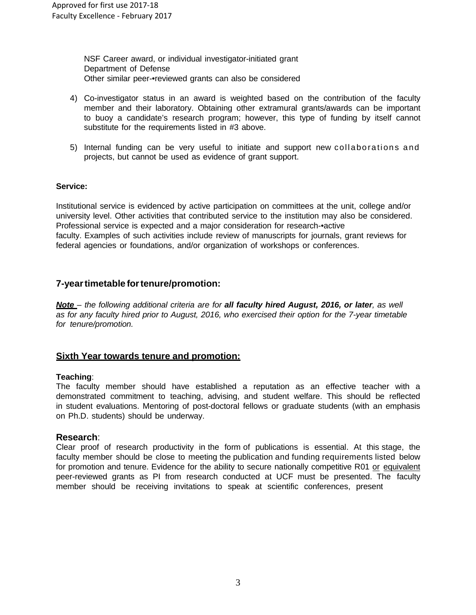NSF Career award, or individual investigator-initiated grant Department of Defense Other similar peer-•reviewed grants can also be considered

- 4) Co-investigator status in an award is weighted based on the contribution of the faculty member and their laboratory. Obtaining other extramural grants/awards can be important to buoy a candidate's research program; however, this type of funding by itself cannot substitute for the requirements listed in #3 above.
- 5) Internal funding can be very useful to initiate and support new collaborations and projects, but cannot be used as evidence of grant support.

## **Service:**

Institutional service is evidenced by active participation on committees at the unit, college and/or university level. Other activities that contributed service to the institution may also be considered. Professional service is expected and a major consideration for research-•active faculty. Examples of such activities include review of manuscripts for journals, grant reviews for federal agencies or foundations, and/or organization of workshops or conferences.

## **7-yeartimetable fortenure/promotion:**

*Note – the following additional criteria are for all faculty hired August, 2016, or later, as well as for any faculty hired prior to August, 2016, who exercised their option for the 7-year timetable for tenure/promotion.*

## **Sixth Year towards tenure and promotion:**

## **Teaching**:

The faculty member should have established a reputation as an effective teacher with a demonstrated commitment to teaching, advising, and student welfare. This should be reflected in student evaluations. Mentoring of post-doctoral fellows or graduate students (with an emphasis on Ph.D. students) should be underway.

## **Research**:

Clear proof of research productivity in the form of publications is essential. At this stage, the faculty member should be close to meeting the publication and funding requirements listed below for promotion and tenure. Evidence for the ability to secure nationally competitive R01 or equivalent peer-reviewed grants as PI from research conducted at UCF must be presented. The faculty member should be receiving invitations to speak at scientific conferences, present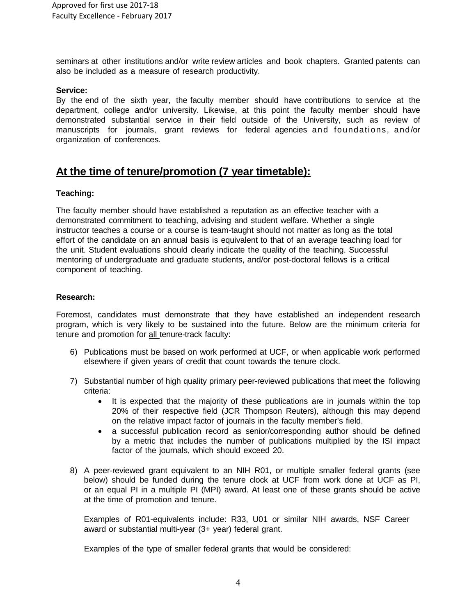seminars at other institutions and/or write review articles and book chapters. Granted patents can also be included as a measure of research productivity.

#### **Service:**

By the end of the sixth year, the faculty member should have contributions to service at the department, college and/or university. Likewise, at this point the faculty member should have demonstrated substantial service in their field outside of the University, such as review of manuscripts for journals, grant reviews for federal agencies and foundations, and/or organization of conferences.

# **At the time of tenure/promotion (7 year timetable):**

## **Teaching:**

The faculty member should have established a reputation as an effective teacher with a demonstrated commitment to teaching, advising and student welfare. Whether a single instructor teaches a course or a course is team-taught should not matter as long as the total effort of the candidate on an annual basis is equivalent to that of an average teaching load for the unit. Student evaluations should clearly indicate the quality of the teaching. Successful mentoring of undergraduate and graduate students, and/or post-doctoral fellows is a critical component of teaching.

## **Research:**

Foremost, candidates must demonstrate that they have established an independent research program, which is very likely to be sustained into the future. Below are the minimum criteria for tenure and promotion for all tenure-track faculty:

- 6) Publications must be based on work performed at UCF, or when applicable work performed elsewhere if given years of credit that count towards the tenure clock.
- 7) Substantial number of high quality primary peer-reviewed publications that meet the following criteria:
	- It is expected that the majority of these publications are in journals within the top 20% of their respective field (JCR Thompson Reuters), although this may depend on the relative impact factor of journals in the faculty member's field.
	- a successful publication record as senior/corresponding author should be defined by a metric that includes the number of publications multiplied by the ISI impact factor of the journals, which should exceed 20.
- 8) A peer-reviewed grant equivalent to an NIH R01, or multiple smaller federal grants (see below) should be funded during the tenure clock at UCF from work done at UCF as PI, or an equal PI in a multiple PI (MPI) award. At least one of these grants should be active at the time of promotion and tenure.

Examples of R01-equivalents include: R33, U01 or similar NIH awards, NSF Career award or substantial multi-year (3+ year) federal grant.

Examples of the type of smaller federal grants that would be considered: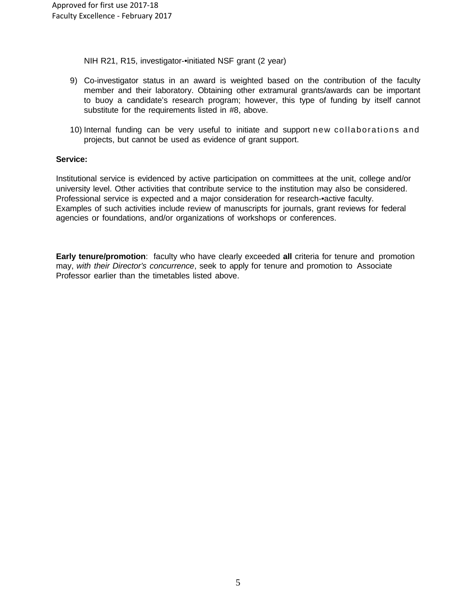NIH R21, R15, investigator-•initiated NSF grant (2 year)

- 9) Co-investigator status in an award is weighted based on the contribution of the faculty member and their laboratory. Obtaining other extramural grants/awards can be important to buoy a candidate's research program; however, this type of funding by itself cannot substitute for the requirements listed in #8, above.
- 10) Internal funding can be very useful to initiate and support new collaborations and projects, but cannot be used as evidence of grant support.

## **Service:**

Institutional service is evidenced by active participation on committees at the unit, college and/or university level. Other activities that contribute service to the institution may also be considered. Professional service is expected and a major consideration for research-•active faculty. Examples of such activities include review of manuscripts for journals, grant reviews for federal agencies or foundations, and/or organizations of workshops or conferences.

**Early tenure/promotion**: faculty who have clearly exceeded **all** criteria for tenure and promotion may, *with their Director's concurrence*, seek to apply for tenure and promotion to Associate Professor earlier than the timetables listed above.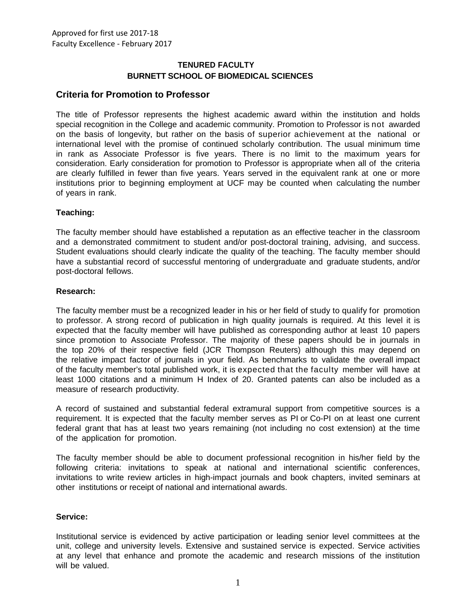## **TENURED FACULTY BURNETT SCHOOL OF BIOMEDICAL SCIENCES**

## **Criteria for Promotion to Professor**

The title of Professor represents the highest academic award within the institution and holds special recognition in the College and academic community. Promotion to Professor is not awarded on the basis of longevity, but rather on the basis of superior achievement at the national or international level with the promise of continued scholarly contribution. The usual minimum time in rank as Associate Professor is five years. There is no limit to the maximum years for consideration. Early consideration for promotion to Professor is appropriate when all of the criteria are clearly fulfilled in fewer than five years. Years served in the equivalent rank at one or more institutions prior to beginning employment at UCF may be counted when calculating the number of years in rank.

## **Teaching:**

The faculty member should have established a reputation as an effective teacher in the classroom and a demonstrated commitment to student and/or post-doctoral training, advising, and success. Student evaluations should clearly indicate the quality of the teaching. The faculty member should have a substantial record of successful mentoring of undergraduate and graduate students, and/or post-doctoral fellows.

## **Research:**

The faculty member must be a recognized leader in his or her field of study to qualify for promotion to professor. A strong record of publication in high quality journals is required. At this level it is expected that the faculty member will have published as corresponding author at least 10 papers since promotion to Associate Professor. The majority of these papers should be in journals in the top 20% of their respective field (JCR Thompson Reuters) although this may depend on the relative impact factor of journals in your field. As benchmarks to validate the overall impact of the faculty member's total published work, it is expected that the faculty member will have at least 1000 citations and a minimum H Index of 20. Granted patents can also be included as a measure of research productivity.

A record of sustained and substantial federal extramural support from competitive sources is a requirement. It is expected that the faculty member serves as PI or Co-PI on at least one current federal grant that has at least two years remaining (not including no cost extension) at the time of the application for promotion.

The faculty member should be able to document professional recognition in his/her field by the following criteria: invitations to speak at national and international scientific conferences, invitations to write review articles in high-impact journals and book chapters, invited seminars at other institutions or receipt of national and international awards.

## **Service:**

Institutional service is evidenced by active participation or leading senior level committees at the unit, college and university levels. Extensive and sustained service is expected. Service activities at any level that enhance and promote the academic and research missions of the institution will be valued.